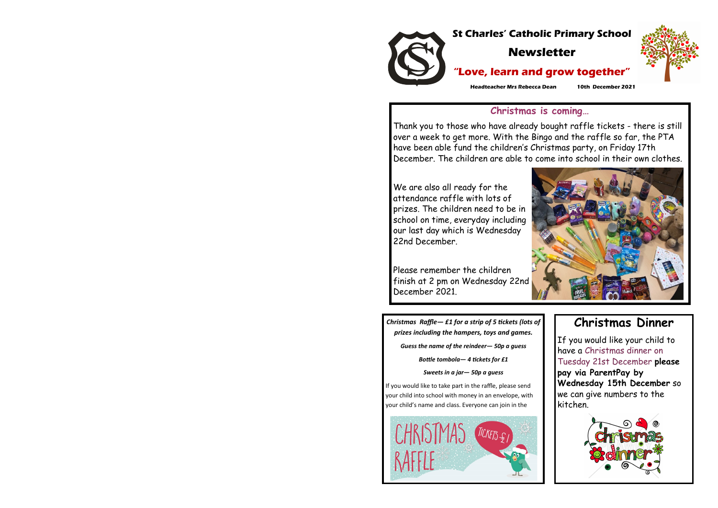

*Christmas Raffle— £1 for a strip of 5 tickets (lots of prizes including the hampers, toys and games.*

*Guess the name of the reindeer— 50p a guess*

*Bottle tombola— 4 tickets for £1*

*Sweets in a jar— 50p a guess* 

If you would like to take part in the raffle, please send your child into school with money in an envelope, with your child's name and class. Everyone can join in the





## **Christmas Dinner**

If you would like your child to have a Christmas dinner on Tuesday 21st December **please pay via ParentPay by Wednesday 15th December** so we can give numbers to the kitchen.





## **Christmas is coming…**

Thank you to those who have already bought raffle tickets - there is still over a week to get more. With the Bingo and the raffle so far, the PTA have been able fund the children's Christmas party, on Friday 17th December. The children are able to come into school in their own clothes.

We are also all ready for the attendance raffle with lots of prizes. The children need to be in school on time, everyday including our last day which is Wednesday 22nd December.

Please remember the children finish at 2 pm on Wednesday 22nd December 2021.